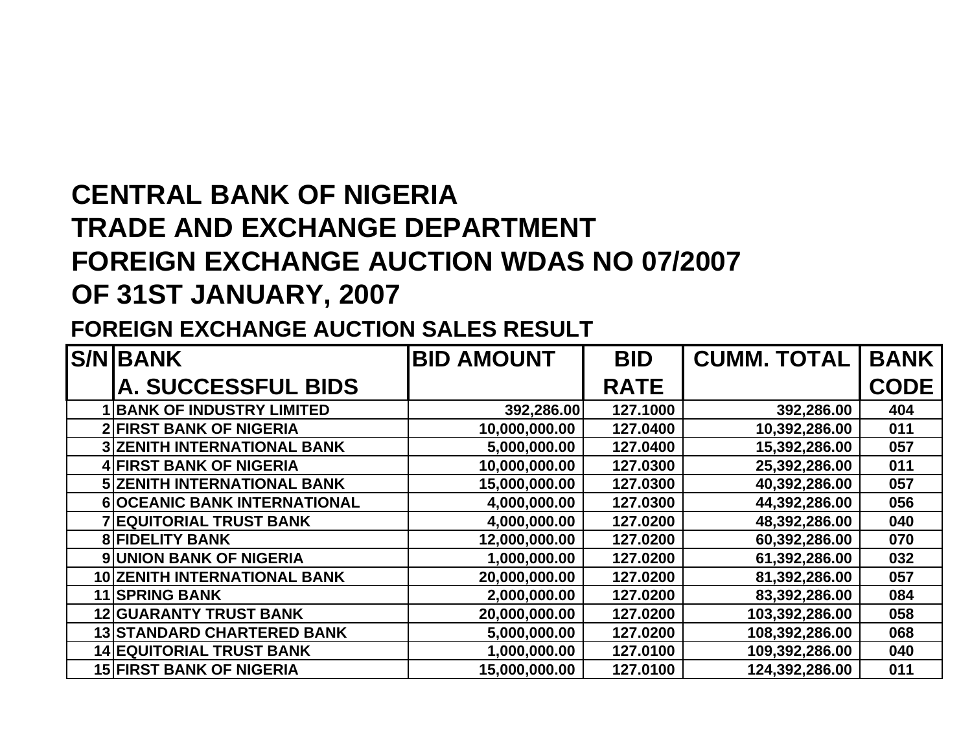## **CENTRAL BANK OF NIGERIA TRADE AND EXCHANGE DEPARTMENT FOREIGN EXCHANGE AUCTION WDAS NO 07/2007 OF 31ST JANUARY, 2007**

## **FOREIGN EXCHANGE AUCTION SALES RESULT**

| <b>S/N BANK</b>                     | <b>BID AMOUNT</b> | <b>BID</b>  | <b>CUMM. TOTAL</b> | <b>BANK</b> |
|-------------------------------------|-------------------|-------------|--------------------|-------------|
| <b>A. SUCCESSFUL BIDS</b>           |                   | <b>RATE</b> |                    | <b>CODE</b> |
| <b>BANK OF INDUSTRY LIMITED</b>     | 392,286.00        | 127.1000    | 392,286.00         | 404         |
| <b>2 FIRST BANK OF NIGERIA</b>      | 10,000,000.00     | 127.0400    | 10,392,286.00      | 011         |
| <b>3 ZENITH INTERNATIONAL BANK</b>  | 5,000,000.00      | 127.0400    | 15,392,286.00      | 057         |
| <b>4 FIRST BANK OF NIGERIA</b>      | 10,000,000.00     | 127.0300    | 25,392,286.00      | 011         |
| <b>5 ZENITH INTERNATIONAL BANK</b>  | 15,000,000.00     | 127.0300    | 40,392,286.00      | 057         |
| <b>6 OCEANIC BANK INTERNATIONAL</b> | 4,000,000.00      | 127.0300    | 44,392,286.00      | 056         |
| <b>7 EQUITORIAL TRUST BANK</b>      | 4,000,000.00      | 127.0200    | 48,392,286.00      | 040         |
| <b>8 FIDELITY BANK</b>              | 12,000,000.00     | 127.0200    | 60,392,286.00      | 070         |
| <b>9 UNION BANK OF NIGERIA</b>      | 1,000,000.00      | 127.0200    | 61,392,286.00      | 032         |
| <b>10 ZENITH INTERNATIONAL BANK</b> | 20,000,000.00     | 127.0200    | 81,392,286.00      | 057         |
| <b>11 SPRING BANK</b>               | 2,000,000.00      | 127.0200    | 83,392,286.00      | 084         |
| <b>12 GUARANTY TRUST BANK</b>       | 20,000,000.00     | 127.0200    | 103,392,286.00     | 058         |
| <b>13 STANDARD CHARTERED BANK</b>   | 5,000,000.00      | 127.0200    | 108,392,286.00     | 068         |
| <b>14 EQUITORIAL TRUST BANK</b>     | 1,000,000.00      | 127.0100    | 109,392,286.00     | 040         |
| <b>15 FIRST BANK OF NIGERIA</b>     | 15,000,000.00     | 127.0100    | 124,392,286.00     | 011         |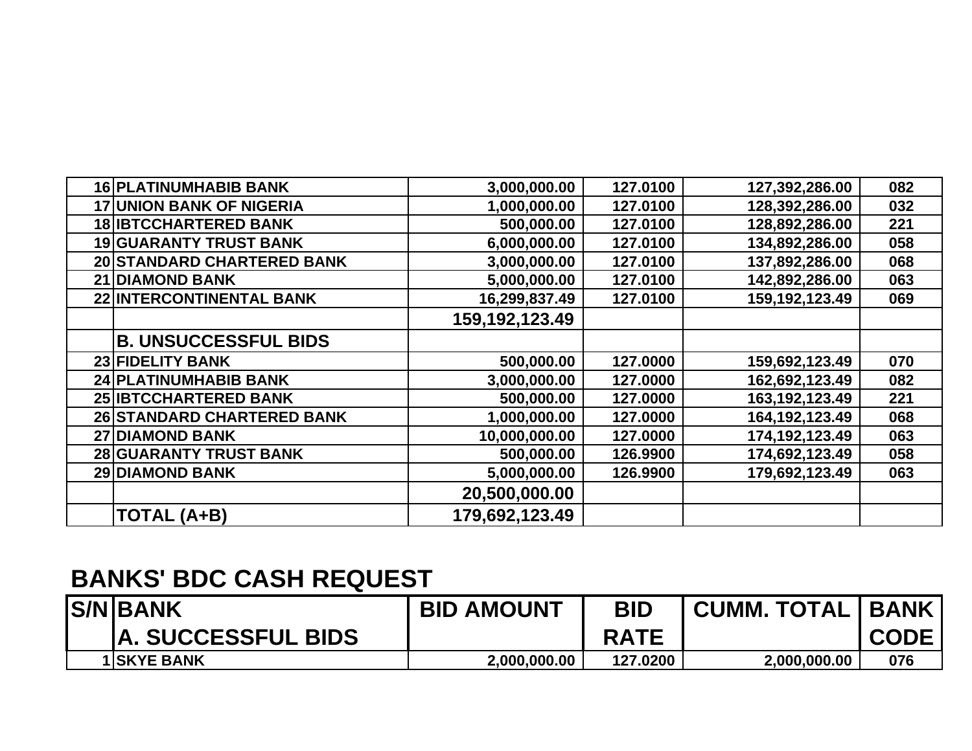| 16 PLATINUMHABIB BANK             | 3,000,000.00   | 127.0100 | 127,392,286.00    | 082 |
|-----------------------------------|----------------|----------|-------------------|-----|
| <b>17 UNION BANK OF NIGERIA</b>   | 1,000,000.00   | 127.0100 | 128,392,286.00    | 032 |
| <b>18 IBTCCHARTERED BANK</b>      | 500,000.00     | 127.0100 | 128,892,286.00    | 221 |
| <b>19 GUARANTY TRUST BANK</b>     | 6,000,000.00   | 127.0100 | 134,892,286.00    | 058 |
| 20 STANDARD CHARTERED BANK        | 3,000,000.00   | 127.0100 | 137,892,286.00    | 068 |
| <b>21 DIAMOND BANK</b>            | 5,000,000.00   | 127.0100 | 142,892,286.00    | 063 |
| 22 INTERCONTINENTAL BANK          | 16,299,837.49  | 127.0100 | 159,192,123.49    | 069 |
|                                   | 159,192,123.49 |          |                   |     |
| <b>B. UNSUCCESSFUL BIDS</b>       |                |          |                   |     |
| <b>23 FIDELITY BANK</b>           | 500,000.00     | 127.0000 | 159,692,123.49    | 070 |
| <b>24 PLATINUMHABIB BANK</b>      | 3,000,000.00   | 127.0000 | 162,692,123.49    | 082 |
| <b>25 IBTCCHARTERED BANK</b>      | 500,000.00     | 127.0000 | 163, 192, 123. 49 | 221 |
| <b>26 STANDARD CHARTERED BANK</b> | 1,000,000.00   | 127.0000 | 164, 192, 123. 49 | 068 |
| <b>27 DIAMOND BANK</b>            | 10,000,000.00  | 127.0000 | 174,192,123.49    | 063 |
| <b>28 GUARANTY TRUST BANK</b>     | 500,000.00     | 126.9900 | 174,692,123.49    | 058 |
| <b>29 DIAMOND BANK</b>            | 5,000,000.00   | 126.9900 | 179,692,123.49    | 063 |
|                                   | 20,500,000.00  |          |                   |     |
| TOTAL (A+B)                       | 179,692,123.49 |          |                   |     |

## **BANKS' BDC CASH REQUEST**

| <b>S/NBANK</b>            | <b>BID AMOUNT</b> | <b>BID</b>  | <b>CUMM. TOTAL   BANK</b> |             |
|---------------------------|-------------------|-------------|---------------------------|-------------|
| <b>A. SUCCESSFUL BIDS</b> |                   | <b>RATE</b> |                           | <b>CODE</b> |
| <b>1 SKYE BANK</b>        | 2.000.000.00      | 127.0200    | 2,000,000.00              | 076         |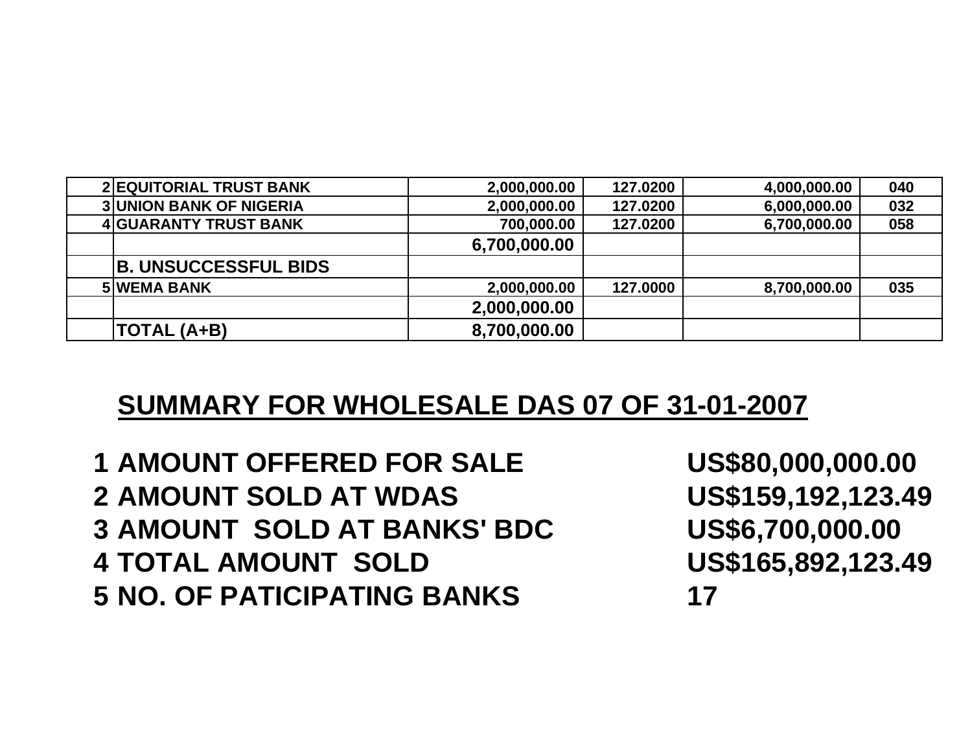| <b>2 EQUITORIAL TRUST BANK</b> | 2,000,000.00 | 127.0200 | 4,000,000.00 | 040 |
|--------------------------------|--------------|----------|--------------|-----|
| <b>3 UNION BANK OF NIGERIA</b> | 2,000,000.00 | 127.0200 | 6,000,000.00 | 032 |
| <b>4 GUARANTY TRUST BANK</b>   | 700,000.00   | 127.0200 | 6,700,000.00 | 058 |
|                                | 6,700,000.00 |          |              |     |
| <b>B. UNSUCCESSFUL BIDS</b>    |              |          |              |     |
| <b>5 WEMA BANK</b>             | 2,000,000.00 | 127.0000 | 8,700,000.00 | 035 |
|                                | 2,000,000.00 |          |              |     |
| TOTAL (A+B)                    | 8,700,000.00 |          |              |     |

## **SUMMARY FOR WHOLESALE DAS 07 OF 31-01-2007**

 **AMOUNT OFFERED FOR SALE US\$80,000,000.00 AMOUNT SOLD AT WDAS US\$159,192,123.49 AMOUNT SOLD AT BANKS' BDC US\$6,700,000.00 TOTAL AMOUNT SOLD US\$165,892,123.49 NO. OF PATICIPATING BANKS 17**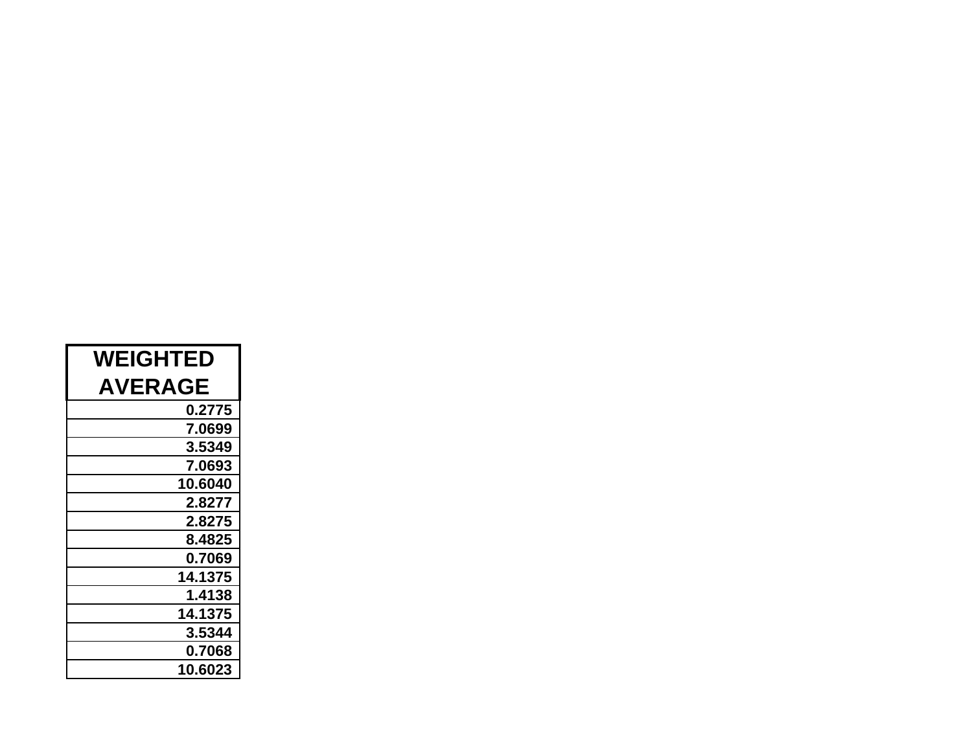| <b>WEIGHTED</b> |  |  |  |
|-----------------|--|--|--|
| <b>AVERAGE</b>  |  |  |  |
| 0.2775          |  |  |  |
| 7.0699          |  |  |  |
| 3.5349          |  |  |  |
| 7.0693          |  |  |  |
| 10.6040         |  |  |  |
| 2.8277          |  |  |  |
| 2.8275          |  |  |  |
| 8.4825          |  |  |  |
| 0.7069          |  |  |  |
| 14.1375         |  |  |  |
| 1.4138          |  |  |  |
| 14.1375         |  |  |  |
| 3.5344          |  |  |  |
| 0.7068          |  |  |  |
| 10.6023         |  |  |  |